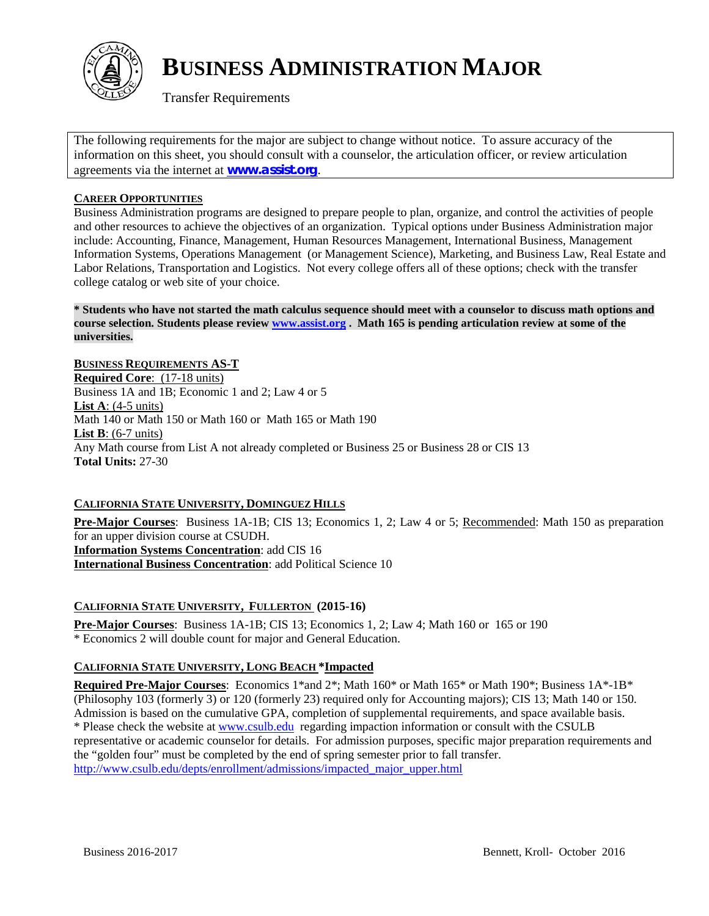

# **BUSINESS ADMINISTRATION MAJOR**

Transfer Requirements

The following requirements for the major are subject to change without notice. To assure accuracy of the information on this sheet, you should consult with a counselor, the articulation officer, or review articulation agreements via the internet at **[www.assist.org](http://www.assist.org/)**.

## **CAREER OPPORTUNITIES**

Business Administration programs are designed to prepare people to plan, organize, and control the activities of people and other resources to achieve the objectives of an organization. Typical options under Business Administration major include: Accounting, Finance, Management, Human Resources Management, International Business, Management Information Systems, Operations Management (or Management Science), Marketing, and Business Law, Real Estate and Labor Relations, Transportation and Logistics. Not every college offers all of these options; check with the transfer college catalog or web site of your choice.

**\* Students who have not started the math calculus sequence should meet with a counselor to discuss math options and course selection. Students please review [www.assist.org](http://www.assist.org/) . Math 165 is pending articulation review at some of the universities.** 

**BUSINESS REQUIREMENTS AS-T Required Core**: (17-18 units) Business 1A and 1B; Economic 1 and 2; Law 4 or 5 **List A**: (4-5 units) Math 140 or Math 150 or Math 160 or Math 165 or Math 190 **List B**: (6-7 units) Any Math course from List A not already completed or Business 25 or Business 28 or CIS 13 **Total Units:** 27-30

## **CALIFORNIA STATE UNIVERSITY, DOMINGUEZ HILLS**

**Pre-Major Courses**: Business 1A-1B; CIS 13; Economics 1, 2; Law 4 or 5; Recommended: Math 150 as preparation for an upper division course at CSUDH. **Information Systems Concentration**: add CIS 16 **International Business Concentration**: add Political Science 10

## **CALIFORNIA STATE UNIVERSITY, FULLERTON (2015-16)**

**Pre-Major Courses**: Business 1A-1B; CIS 13; Economics 1, 2; Law 4; Math 160 or 165 or 190 \* Economics 2 will double count for major and General Education.

## **CALIFORNIA STATE UNIVERSITY, LONG BEACH \*Impacted**

**Required Pre-Major Courses**: Economics 1\*and 2\*; Math 160\* or Math 165\* or Math 190\*; Business 1A\*-1B\* (Philosophy 103 (formerly 3) or 120 (formerly 23) required only for Accounting majors); CIS 13; Math 140 or 150. Admission is based on the cumulative GPA, completion of supplemental requirements, and space available basis. \* Please check the website a[t www.csulb.edu](http://www.csulb.edu/) regarding impaction information or consult with the CSULB representative or academic counselor for details. For admission purposes, specific major preparation requirements and the "golden four" must be completed by the end of spring semester prior to fall transfer. [http://www.csulb.edu/depts/enrollment/admissions/impacted\\_major\\_upper.html](http://www.csulb.edu/depts/enrollment/admissions/impacted_major_upper.html)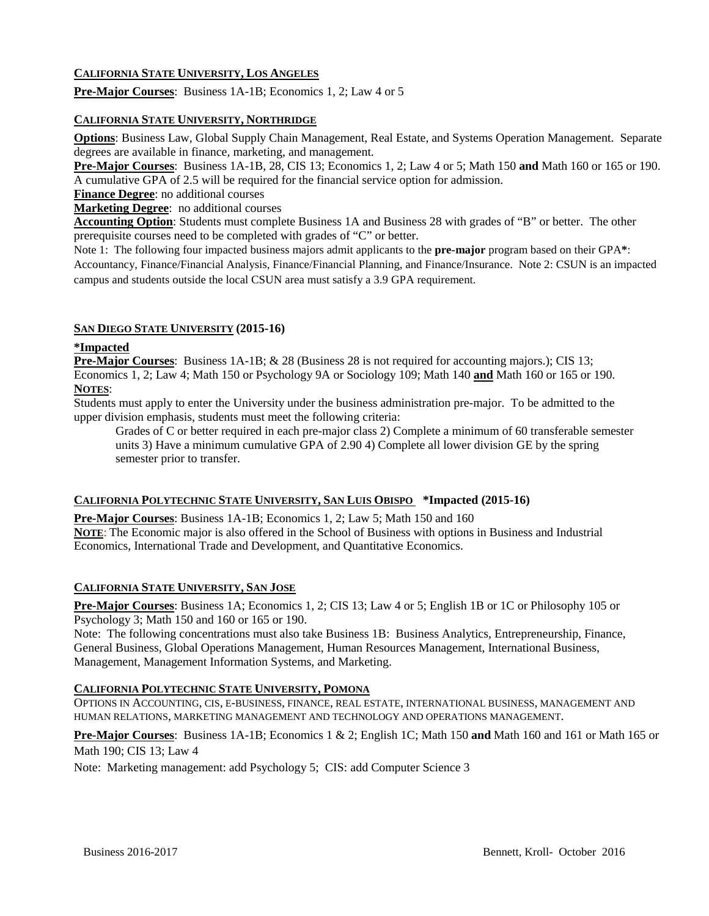## **CALIFORNIA STATE UNIVERSITY, LOS ANGELES**

**Pre-Major Courses**: Business 1A-1B; Economics 1, 2; Law 4 or 5

#### **CALIFORNIA STATE UNIVERSITY, NORTHRIDGE**

**Options**: Business Law, Global Supply Chain Management, Real Estate, and Systems Operation Management. Separate degrees are available in finance, marketing, and management.

**Pre-Major Courses**: Business 1A-1B, 28, CIS 13; Economics 1, 2; Law 4 or 5; Math 150 **and** Math 160 or 165 or 190. A cumulative GPA of 2.5 will be required for the financial service option for admission.

**Finance Degree**: no additional courses

**Marketing Degree**: no additional courses

**Accounting Option**: Students must complete Business 1A and Business 28 with grades of "B" or better. The other prerequisite courses need to be completed with grades of "C" or better.

Note 1: The following four impacted [business majors](http://www.csun.edu/cobaessc/academic-programs) admit applicants to the **pre-major** program based on their GPA**\***: Accountancy, Finance/Financial Analysis, Finance/Financial Planning, and Finance/Insurance. Note 2: CSUN is an impacted campus and students outside the local CSUN area must satisfy a 3.9 GPA requirement.

#### **SAN DIEGO STATE UNIVERSITY (2015-16)**

#### **\*Impacted**

**Pre-Major Courses**: Business 1A-1B; & 28 (Business 28 is not required for accounting majors.); CIS 13; Economics 1, 2; Law 4; Math 150 or Psychology 9A or Sociology 109; Math 140 **and** Math 160 or 165 or 190. **NOTES**:

Students must apply to enter the University under the business administration pre-major. To be admitted to the upper division emphasis, students must meet the following criteria:

Grades of C or better required in each pre-major class 2) Complete a minimum of 60 transferable semester units 3) Have a minimum cumulative GPA of 2.90 4) Complete all lower division GE by the spring semester prior to transfer.

#### **CALIFORNIA POLYTECHNIC STATE UNIVERSITY, SAN LUIS OBISPO \*Impacted (2015-16)**

**Pre-Major Courses**: Business 1A-1B; Economics 1, 2; Law 5; Math 150 and 160 **NOTE**: The Economic major is also offered in the School of Business with options in Business and Industrial Economics, International Trade and Development, and Quantitative Economics.

#### **CALIFORNIA STATE UNIVERSITY, SAN JOSE**

**Pre-Major Courses**: Business 1A; Economics 1, 2; CIS 13; Law 4 or 5; English 1B or 1C or Philosophy 105 or Psychology 3; Math 150 and 160 or 165 or 190.

Note: The following concentrations must also take Business 1B: Business Analytics, Entrepreneurship, Finance, General Business, Global Operations Management, Human Resources Management, International Business, Management, Management Information Systems, and Marketing.

#### **CALIFORNIA POLYTECHNIC STATE UNIVERSITY, POMONA**

OPTIONS IN ACCOUNTING, CIS, E-BUSINESS, FINANCE, REAL ESTATE, INTERNATIONAL BUSINESS, MANAGEMENT AND HUMAN RELATIONS, MARKETING MANAGEMENT AND TECHNOLOGY AND OPERATIONS MANAGEMENT.

**Pre-Major Courses**: Business 1A-1B; Economics 1 & 2; English 1C; Math 150 **and** Math 160 and 161 or Math 165 or Math 190; CIS 13; Law 4

Note: Marketing management: add Psychology 5; CIS: add Computer Science 3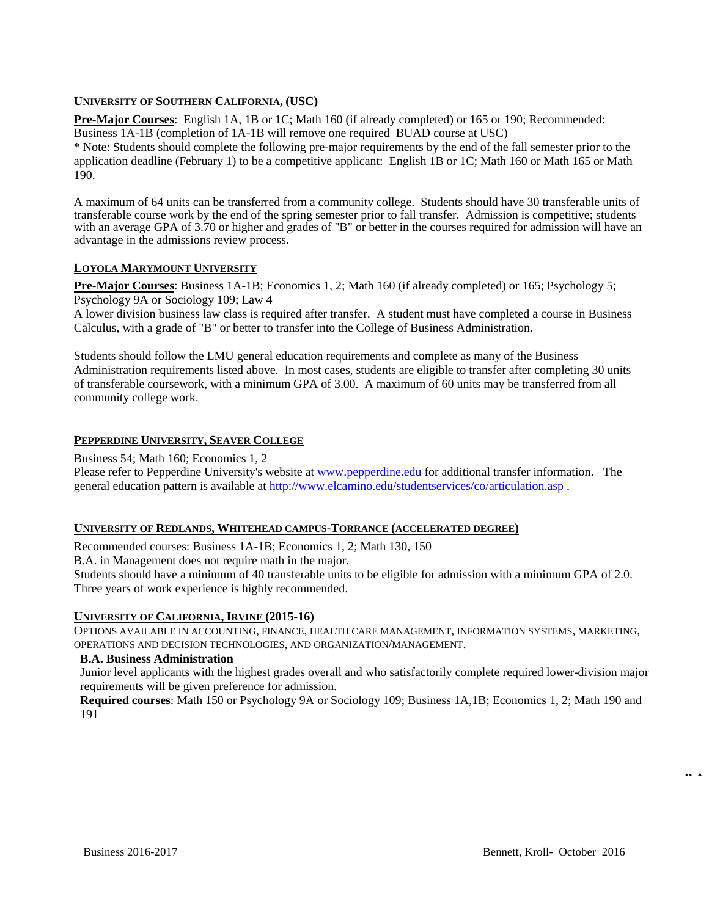## **UNIVERSITY OF SOUTHERN CALIFORNIA, (USC)**

**Pre-Major Courses**: English 1A, 1B or 1C; Math 160 (if already completed) or 165 or 190; Recommended: Business 1A-1B (completion of 1A-1B will remove one required BUAD course at USC)

\* Note: Students should complete the following pre-major requirements by the end of the fall semester prior to the application deadline (February 1) to be a competitive applicant: English 1B or 1C; Math 160 or Math 165 or Math 190.

A maximum of 64 units can be transferred from a community college. Students should have 30 transferable units of transferable course work by the end of the spring semester prior to fall transfer. Admission is competitive; students with an average GPA of 3.70 or higher and grades of "B" or better in the courses required for admission will have an advantage in the admissions review process.

#### **LOYOLA MARYMOUNT UNIVERSITY**

**Pre-Major Courses**: Business 1A-1B; Economics 1, 2; Math 160 (if already completed) or 165; Psychology 5; Psychology 9A or Sociology 109; Law 4

A lower division business law class is required after transfer. A student must have completed a course in Business Calculus, with a grade of "B" or better to transfer into the College of Business Administration.

Students should follow the LMU general education requirements and complete as many of the Business Administration requirements listed above. In most cases, students are eligible to transfer after completing 30 units of transferable coursework, with a minimum GPA of 3.00. A maximum of 60 units may be transferred from all community college work.

#### **PEPPERDINE UNIVERSITY, SEAVER COLLEGE**

Business 54; Math 160; Economics 1, 2

Please refer to Pepperdine University's website at [www.pepperdine.edu](http://www.pepperdine.edu/) for additional transfer information. The general education pattern is available at<http://www.elcamino.edu/studentservices/co/articulation.asp> .

#### **UNIVERSITY OF REDLANDS, WHITEHEAD CAMPUS-TORRANCE (ACCELERATED DEGREE)**

Recommended courses: Business 1A-1B; Economics 1, 2; Math 130, 150

B.A. in Management does not require math in the major.

Students should have a minimum of 40 transferable units to be eligible for admission with a minimum GPA of 2.0. Three years of work experience is highly recommended.

#### **UNIVERSITY OF CALIFORNIA, IRVINE (2015-16)**

OPTIONS AVAILABLE IN ACCOUNTING, FINANCE, HEALTH CARE MANAGEMENT, INFORMATION SYSTEMS, MARKETING, OPERATIONS AND DECISION TECHNOLOGIES, AND ORGANIZATION/MANAGEMENT.

#### **B.A. Business Administration**

Junior level applicants with the highest grades overall and who satisfactorily complete required lower-division major requirements will be given preference for admission.

**Required courses**: Math 150 or Psychology 9A or Sociology 109; Business 1A,1B; Economics 1, 2; Math 190 and 191

**BA**